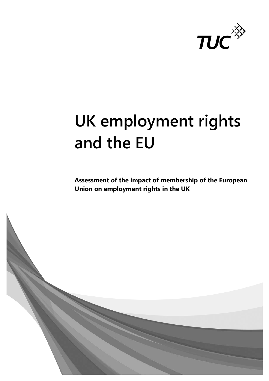

# **UK employment rights and the EU**

**Assessment of the impact of membership of the European Union on employment rights in the UK**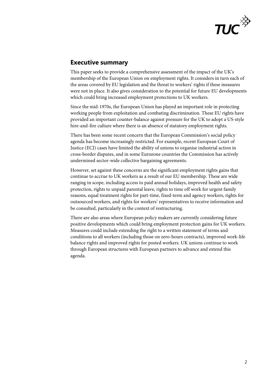

# **Executive summary**

This paper seeks to provide a comprehensive assessment of the impact of the UK's membership of the European Union on employment rights. It considers in turn each of the areas covered by EU legislation and the threat to workers' rights if these measures were not in place. It also gives consideration to the potential for future EU developments which could bring increased employment protections to UK workers.

Since the mid-1970s, the European Union has played an important role in protecting working people from exploitation and combating discrimination. These EU rights have provided an important counter-balance against pressure for the UK to adopt a US-style hire-and-fire culture where there is an absence of statutory employment rights.

There has been some recent concern that the European Commission's social policy agenda has become increasingly restricted. For example, recent European Court of Justice (ECJ) cases have limited the ability of unions to organise industrial action in cross-border disputes, and in some Eurozone countries the Commission has actively undermined sector-wide collective bargaining agreements.

However, set against these concerns are the significant employment rights gains that continue to accrue to UK workers as a result of our EU membership. These are wide ranging in scope, including access to paid annual holidays, improved health and safety protection, rights to unpaid parental leave, rights to time off work for urgent family reasons, equal treatment rights for part-time, fixed-term and agency workers, rights for outsourced workers, and rights for workers' representatives to receive information and be consulted, particularly in the context of restructuring.

There are also areas where European policy makers are currently considering future positive developments which could bring employment protection gains for UK workers. Measures could include extending the right to a written statement of terms and conditions to all workers (including those on zero-hours contracts), improved work-life balance rights and improved rights for posted workers. UK unions continue to work through European structures with European partners to advance and extend this agenda.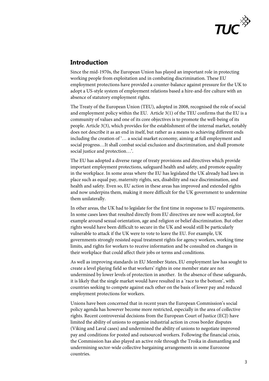

# **Introduction**

Since the mid-1970s, the European Union has played an important role in protecting working people from exploitation and in combating discrimination. These EU employment protections have provided a counter-balance against pressure for the UK to adopt a US-style system of employment relations based a hire-and-fire culture with an absence of statutory employment rights.

The Treaty of the European Union (TEU), adopted in 2008, recognised the role of social and employment policy within the EU. Article 3(1) of the TEU confirms that the EU is a community of values and one of its core objectives is to promote the well-being of its people. Article 3(3), which provides for the establishment of the internal market, notably does not describe it as an end in itself, but rather as a means to achieving different ends including the creation of '… a social market economy, aiming at full employment and social progress…It shall combat social exclusion and discrimination, and shall promote social justice and protection…'.

The EU has adopted a diverse range of treaty provisions and directives which provide important employment protections, safeguard health and safety, and promote equality in the workplace. In some areas where the EU has legislated the UK already had laws in place such as equal pay, maternity rights, sex, disability and race discrimination, and health and safety. Even so, EU action in these areas has improved and extended rights and now underpins them, making it more difficult for the UK government to undermine them unilaterally.

In other areas, the UK had to legislate for the first time in response to EU requirements. In some cases laws that resulted directly from EU directives are now well accepted, for example around sexual orientation, age and religion or belief discrimination. But other rights would have been difficult to secure in the UK and would still be particularly vulnerable to attack if the UK were to vote to leave the EU. For example, UK governments strongly resisted equal treatment rights for agency workers, working time limits, and rights for workers to receive information and be consulted on changes in their workplace that could affect their jobs or terms and conditions.

As well as improving standards in EU Member States, EU employment law has sought to create a level playing field so that workers' rights in one member state are not undermined by lower levels of protection in another. In the absence of these safeguards, it is likely that the single market would have resulted in a 'race to the bottom', with countries seeking to compete against each other on the basis of lower pay and reduced employment protections for workers.

Unions have been concerned that in recent years the European Commission's social policy agenda has however become more restricted, especially in the area of collective rights. Recent controversial decisions from the European Court of Justice (ECJ) have limited the ability of unions to organise industrial action in cross border disputes (Viking and Laval cases) and undermined the ability of unions to negotiate improved pay and conditions for posted and outsourced workers. Following the financial crisis, the Commission has also played an active role through the Troika in dismantling and undermining sector-wide collective bargaining arrangements in some Eurozone countries.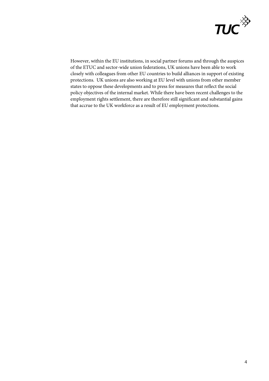

However, within the EU institutions, in social partner forums and through the auspices of the ETUC and sector-wide union federations, UK unions have been able to work closely with colleagues from other EU countries to build alliances in support of existing protections. UK unions are also working at EU level with unions from other member states to oppose these developments and to press for measures that reflect the social policy objectives of the internal market. While there have been recent challenges to the employment rights settlement, there are therefore still significant and substantial gains that accrue to the UK workforce as a result of EU employment protections.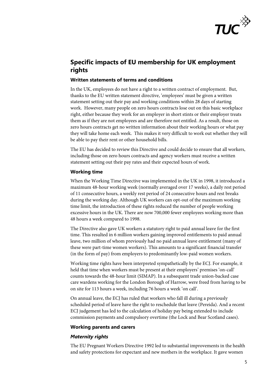

# **Specific impacts of EU membership for UK employment rights**

# **Written statements of terms and conditions**

In the UK, employees do not have a right to a written contract of employment. But, thanks to the EU written statement directive, 'employees' must be given a written statement setting out their pay and working conditions within 28 days of starting work. However, many people on zero hours contracts lose out on this basic workplace right, either because they work for an employer in short stints or their employer treats them as if they are not employees and are therefore not entitled. As a result, those on zero hours contracts get no written information about their working hours or what pay they will take home each week. This makes it very difficult to work out whether they will be able to pay their rent or other household bills.

The EU has decided to review this Directive and could decide to ensure that all workers, including those on zero hours contracts and agency workers must receive a written statement setting out their pay rates and their expected hours of work.

### **Working time**

When the Working Time Directive was implemented in the UK in 1998, it introduced a maximum 48-hour working week (normally averaged over 17 weeks), a daily rest period of 11 consecutive hours, a weekly rest period of 24 consecutive hours and rest breaks during the working day. Although UK workers can opt-out of the maximum working time limit, the introduction of these rights reduced the number of people working excessive hours in the UK. There are now 700,000 fewer employees working more than 48 hours a week compared to 1998.

The Directive also gave UK workers a statutory right to paid annual leave for the first time. This resulted in 6 million workers gaining improved entitlements to paid annual leave, two million of whom previously had no paid annual leave entitlement (many of these were part-time women workers). This amounts to a significant financial transfer (in the form of pay) from employers to predominantly low-paid women workers.

Working time rights have been interpreted sympathetically by the ECJ. For example, it held that time when workers must be present at their employers' premises 'on-call' counts towards the 48-hour limit (SIMAP). In a subsequent trade union-backed case care wardens working for the London Borough of Harrow, were freed from having to be on site for 113 hours a week, including 76 hours a week 'on call'.

On annual leave, the ECJ has ruled that workers who fall ill during a previously scheduled period of leave have the right to reschedule that leave (Pereida). And a recent ECJ judgement has led to the calculation of holiday pay being extended to include commission payments and compulsory overtime (the Lock and Bear Scotland cases).

#### **Working parents and carers**

# *Maternity rights*

The EU Pregnant Workers Directive 1992 led to substantial improvements in the health and safety protections for expectant and new mothers in the workplace. It gave women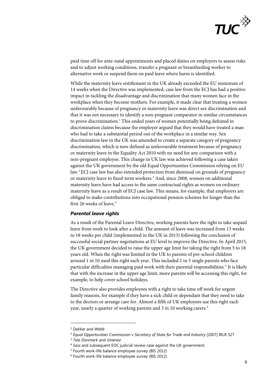

paid time off for ante-natal appointments and placed duties on employers to assess risks and to adjust working conditions, transfer a pregnant or breastfeeding worker to alternative work or suspend them on paid leave where harm is identified.

While the maternity leave entitlement in the UK already exceeded the EU minimum of 14 weeks when the Directive was implemented, case law from the ECJ has had a positive impact in tackling the disadvantage and discrimination that many women face in the workplace when they become mothers. For example, it made clear that treating a women unfavourably because of pregnancy or maternity leave was direct sex discrimination and that it was not necessary to identify a non-pregnant comparator in similar circumstances to prove discrimination.<sup>1</sup> This ended years of women potentially being defeated in discrimination claims because the employer argued that they would have treated a man who had to take a substantial period out of the workplace in a similar way. Sex discrimination law in the UK was amended to create a separate category of pregnancy discrimination, which is now defined as unfavourable treatment because of pregnancy or maternity leave in the Equality Act 2010 with no need for any comparison with a non-pregnant employee. This change in UK law was achieved following a case taken against the UK government by the old Equal Opportunities Commission relying on EU law.[2](#page-5-1)ECJ case law has also extended protection from dismissal on grounds of pregnancy or maternity leave to fixed-term workers.<sup>[3](#page-5-2)</sup> And, since 2008, women on additional maternity leave have had access to the same contractual rights as women on ordinary maternity leave as a result of ECJ case law. This means, for example, that employers are obliged to make contributions into occupational pension schemes for longer than the first 26 weeks of leave.<sup>[4](#page-5-3)</sup>

#### *Parental leave rights*

As a result of the Parental Leave Directive, working parents have the right to take unpaid leave from work to look after a child. The amount of leave was increased from 13 weeks to 18 weeks per child (implemented in the UK in 2013) following the conclusion of successful social partner negotiations at EU level to improve the Directive. In April 2015, the UK government decided to raise the upper age limit for taking the right from 5 to 18 years old. When the right was limited in the UK to parents of pre-school children around 1 in 10 used this right each year. This included 1 in 5 single parents who face particular difficulties managing paid work with their parental responsibilities.<sup>[5](#page-5-4)</sup> It is likely that with the increase in the upper age limit, more parents will be accessing this right, for example, to help cover school holidays.

The Directive also provides employees with a right to take time off work for urgent family reasons, for example if they have a sick child or dependant that they need to take to the doctors or arrange care for. Almost a fifth of UK employees use this right each year, nearly a quarter of working parents and 3 in 10 working carers.<sup>[6](#page-5-5)</sup>

-

<sup>1</sup> *Dekker* and *Webb*

<span id="page-5-2"></span><span id="page-5-1"></span><span id="page-5-0"></span><sup>2</sup> *Equal Opportunities Commission v Secretary of State for Trade and Industry* [2007] IRLR 327

<sup>3</sup> *Tele Danmark* and *Jimenez*

<span id="page-5-3"></span><sup>4</sup> *Sass* and subsequent EOC judicial review case against the UK government. 5 Fourth work-life balance employee survey (BIS 2012)

<span id="page-5-4"></span>

<span id="page-5-5"></span><sup>6</sup> Fourth work-life balance employee survey (BIS 2012)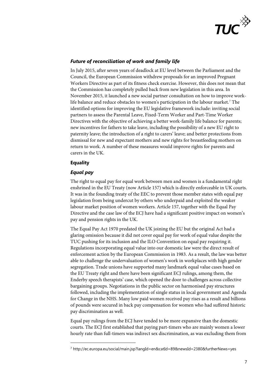

# *Future of reconciliation of work and family life*

In July 2015, after seven years of deadlock at EU level between the Parliament and the Council, the European Commission withdrew proposals for an improved Pregnant Workers Directive as part of its fitness check exercise. However, this does not mean that the Commission has completely pulled back from new legislation in this area. In November 2015, it launched a new social partner consultation on how to improve work-life balance and reduce obstacles to women's participation in the labour market.<sup>[7](#page-6-0)</sup> The identified options for improving the EU legislative framework include: inviting social partners to assess the Parental Leave, Fixed-Term Worker and Part-Time Worker Directives with the objective of achieving a better work-family life balance for parents; new incentives for fathers to take leave, including the possibility of a new EU right to paternity leave; the introduction of a right to carers' leave; and better protections from dismissal for new and expectant mothers and new rights for breastfeeding mothers on return to work. A number of these measures would improve rights for parents and carers in the UK.

# **Equality**

-

# *Equal pay*

The right to equal pay for equal work between men and women is a fundamental right enshrined in the EU Treaty (now Article 157) which is directly enforceable in UK courts. It was in the founding treaty of the EEC to prevent those member states with equal pay legislation from being undercut by others who underpaid and exploited the weaker labour market position of women workers. Article 157, together with the Equal Pay Directive and the case law of the ECJ have had a significant positive impact on women's pay and pension rights in the UK.

The Equal Pay Act 1970 predated the UK joining the EU but the original Act had a glaring omission because it did not cover equal pay for work of equal value despite the TUC pushing for its inclusion and the ILO Convention on equal pay requiring it. Regulations incorporating equal value into our domestic law were the direct result of enforcement action by the European Commission in 1983. As a result, the law was better able to challenge the undervaluation of women's work in workplaces with high gender segregation. Trade unions have supported many landmark equal value cases based on the EU Treaty right and there have been significant ECJ rulings, among them, the Enderby speech therapists' case, which opened the door to challenges across collective bargaining groups. Negotiations in the public sector on harmonised pay structures followed, including the implementation of single status in local government and Agenda for Change in the NHS. Many low paid women received pay rises as a result and billions of pounds were secured in back pay compensation for women who had suffered historic pay discrimination as well.

Equal pay rulings from the ECJ have tended to be more expansive than the domestic courts. The ECJ first established that paying part-timers who are mainly women a lower hourly rate than full-timers was indirect sex discrimination, as was excluding them from

<span id="page-6-0"></span><sup>7</sup> http://ec.europa.eu/social/main.jsp?langId=en&catId=89&newsId=2380&furtherNews=yes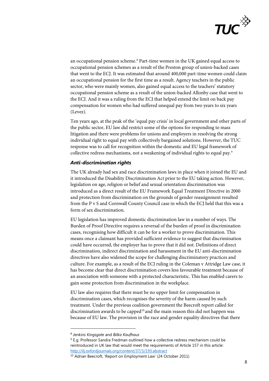

an occupational pension scheme.<sup>[8](#page-7-0)</sup> Part-time women in the UK gained equal access to occupational pension schemes as a result of the Preston group of union-backed cases that went to the ECJ. It was estimated that around 400,000 part-time women could claim an occupational pension for the first time as a result. Agency teachers in the public sector, who were mainly women, also gained equal access to the teachers' statutory occupational pension scheme as a result of the union-backed Allonby case that went to the ECJ. And it was a ruling from the ECJ that helped extend the limit on back pay compensation for women who had suffered unequal pay from two years to six years (Levez).

Ten years ago, at the peak of the 'equal pay crisis' in local government and other parts of the public sector, EU law did restrict some of the options for responding to mass litigation and there were problems for unions and employers in resolving the strong individual right to equal pay with collectively bargained solutions. However, the TUC response was to call for recognition within the domestic and EU legal framework of collective redress mechanisms, not a weakening of individual rights to equal pay.<sup>[9](#page-7-1)</sup>

# *Anti-discrimination rights*

The UK already had sex and race discrimination laws in place when it joined the EU and it introduced the Disability Discrimination Act prior to the EU taking action. However, legislation on age, religion or belief and sexual orientation discrimination was introduced as a direct result of the EU Framework Equal Treatment Directive in 2000 and protection from discrimination on the grounds of gender reassignment resulted from the P v S and Cornwall County Council case in which the ECJ held that this was a form of sex discrimination.

EU legislation has improved domestic discrimination law in a number of ways. The Burden of Proof Directive requires a reversal of the burden of proof in discrimination cases, recognising how difficult it can be for a worker to prove discrimination. This means once a claimant has provided sufficient evidence to suggest that discrimination could have occurred, the employer has to prove that it did not. Definitions of direct discrimination, indirect discrimination and harassment in the EU anti-discrimination directives have also widened the scope for challenging discriminatory practices and culture. For example, as a result of the ECJ ruling in the Coleman v Attridge Law case, it has become clear that direct discrimination covers less favourable treatment because of an association with someone with a protected characteristic. This has enabled carers to gain some protection from discrimination in the workplace.

EU law also requires that there must be no upper limit for compensation in discrimination cases, which recognises the severity of the harm caused by such treatment. Under the previous coalition government the Beecroft report called for discrimination awards to be capped<sup>10</sup> and the main reason this did not happen was because of EU law. The provision in the race and gender equality directives that there

-

<span id="page-7-0"></span><sup>8</sup> *Jenkins Kingsgate* and *Bilka Kaufhaus*

<span id="page-7-1"></span><sup>&</sup>lt;sup>9</sup> E.g. Professor Sandra Fredman outlined how a collective redress mechanism could be reintroduced in UK law that would meet the requirements of Article 157 in this article: <http://ilj.oxfordjournals.org/content/37/3/193.abstract>

<span id="page-7-2"></span><sup>10</sup> Adrian Beecroft, 'Report on Employment Law' (24 October 2011)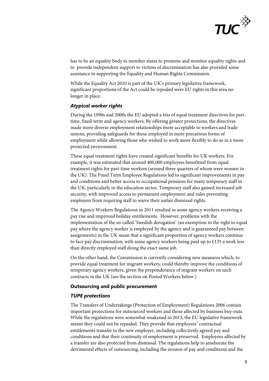

has to be an equality body in member states to promote and monitor equality rights and to provide independent support to victims of discrimination has also provided some assistance in supporting the Equality and Human Rights Commission.

While the Equality Act 2010 is part of the UK's primary legislative framework, significant proportions of the Act could be repealed were EU rights in this area no longer in place.

## *Atypical worker rights*

During the 1990s and 2000s the EU adopted a trio of equal treatment directives for parttime, fixed-term and agency workers. By offering greater protections, the directives made more diverse employment relationships more acceptable to workers and trade unions, providing safeguards for those employed in more precarious forms of employment while allowing those who wished to work more flexibly to do so in a more protected environment.

These equal treatment rights have created significant benefits for UK workers. For example, it was estimated that around 400,000 employees benefitted from equal treatment rights for part-time workers (around three quarters of whom were women in the UK). The Fixed Term Employee Regulations led to significant improvements in pay and conditions and better access to occupational pensions for many temporary staff in the UK, particularly in the education sector. Temporary staff also gained increased job security, with improved access to permanent employment and rules preventing employers from requiring staff to waive their unfair dismissal rights.

The Agency Workers Regulations in 2011 resulted in some agency workers receiving a pay rise and improved holiday entitlements. However, problems with the implementation of the so-called 'Swedish derogation' (an exemption to the right to equal pay where the agency worker is employed by the agency and is guaranteed pay between assignments) in the UK mean that a significant proportion of agency workers continue to face pay discrimination, with some agency workers being paid up to £135 a week less than directly employed staff doing the exact same job.

On the other hand, the Commission is currently considering new measures which, to provide equal treatment for migrant workers, could thereby improve the conditions of temporary agency workers, given the preponderance of migrant workers on such contracts in the UK (see the section on Posted Workers below.)

#### **Outsourcing and public procurement**

#### *TUPE protections*

The Transfers of Undertakings (Protection of Employment) Regulations 2006 contain important protections for outsourced workers and those affected by business buy-outs. While the regulations were somewhat weakened in 2013, the EU legislative framework meant they could not be repealed. They provide that employees' contractual entitlements transfer to the new employer, including collectively agreed pay and conditions and that their continuity of employment is preserved. Employees affected by a transfer are also protected from dismissal. The regulations help to ameliorate the detrimental effects of outsourcing, including the erosion of pay and conditions and the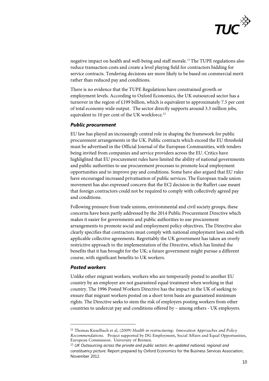

negative impact on health and well-being and staff morale.[11](#page-9-0)The TUPE regulations also reduce transaction costs and create a level playing field for contractors bidding for service contracts. Tendering decisions are more likely to be based on commercial merit rather than reduced pay and conditions.

There is no evidence that the TUPE Regulations have constrained growth or employment levels. According to Oxford Economics, the UK outsourced sector has a turnover in the region of £199 billion, which is equivalent to approximately 7.5 per cent of total economy wide output. The sector directly supports around 3.3 million jobs, equivalent to 10 per cent of the UK workforce.<sup>[12](#page-9-1)</sup>

### *Public procurement*

EU law has played an increasingly central role in shaping the framework for public procurement arrangements in the UK. Public contracts which exceed the EU threshold must be advertised in the Official Journal of the European Communities, with tenders being invited from companies and service providers across the EU. Critics have highlighted that EU procurement rules have limited the ability of national governments and public authorities to use procurement processes to promote local employment opportunities and to improve pay and conditions. Some have also argued that EU rules have encouraged increased privatisation of public services. The European trade union movement has also expressed concern that the ECJ decision in the Ruffert case meant that foreign contractors could not be required to comply with collectively agreed pay and conditions.

Following pressure from trade unions, environmental and civil society groups, these concerns have been partly addressed by the 2014 Public Procurement Directive which makes it easier for governments and public authorities to use procurement arrangements to promote social and employment policy objectives. The Directive also clearly specifies that contractors must comply with national employment laws and with applicable collective agreements. Regrettably the UK government has taken an overly restrictive approach to the implementation of the Directive, which has limited the benefits that it has brought for the UK; a future government might pursue a different course, with significant benefits to UK workers.

#### *Posted workers*

-

Unlike other migrant workers, workers who are temporarily posted to another EU country by an employer are not guaranteed equal treatment when working in that country. The 1996 Posted Workers Directive has the impact in the UK of seeking to ensure that migrant workers posted on a short term basis are guaranteed minimum rights. The Directive seeks to stem the risk of employers posting workers from other countries to undercut pay and conditions offered by – among others - UK employers.

<span id="page-9-0"></span><sup>11</sup> Thomas Kieselbach et al*,* (2009) *Health in restructuring: Innovation Approaches and Policy Recommendations.* Project supported by DG Employment, Social Affairs and Equal Opportunities, European Commission. University of Bremen.

<span id="page-9-1"></span><sup>12</sup> *UK Outsourcing across the private and public sectors*: *An updated national, regional and constituency picture.* Report prepared by Oxford Economics for the Business Services Association, November 2012.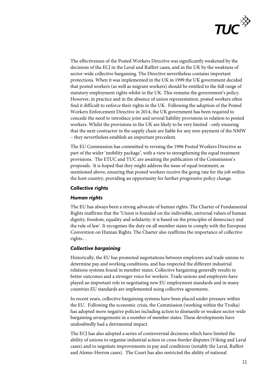

The effectiveness of the Posted Workers Directive was significantly weakened by the decisions of the ECJ in the Laval and Ruffert cases, and in the UK by the weakness of sector-wide collective bargaining. The Directive nevertheless contains important protections. When it was implemented in the UK in 1999 the UK government decided that posted workers (as well as migrant workers) should be entitled to the full range of statutory employment rights whilst in the UK. This remains the government's policy. However, in practice and in the absence of union representation, posted workers often find it difficult to enforce their rights in the UK. Following the adoption of the Posted Workers Enforcement Directive in 2014, the UK government has been required to concede the need to introduce joint and several liability provisions in relation to posted workers. Whilst the provisions in the UK are likely to be very limited - only ensuring that the next contractor in the supply chain are liable for any non-payment of the NMW – they nevertheless establish an important precedent.

The EU Commission has committed to revising the 1996 Posted Workers Directive as part of the wider 'mobility package', with a view to strengthening the equal treatment provisions. The ETUC and TUC are awaiting the publication of the Commission's proposals. It is hoped that they might address the issue of equal treatment, as mentioned above, ensuring that posted workers receive the going rate for the job within the host country, providing an opportunity for further progressive policy change.

# **Collective rights**

#### *Human rights*

The EU has always been a strong advocate of human rights. The Charter of Fundamental Rights reaffirms that the 'Union is founded on the indivisible, universal values of human dignity, freedom, equality and solidarity; it is based on the principles of democracy and the rule of law'. It recognises the duty on all member states to comply with the European Convention on Human Rights. The Charter also reaffirms the importance of collective rights.. .

# *Collective bargaining*

Historically, the EU has promoted negotiations between employers and trade unions to determine pay and working conditions, and has respected the different industrial relations systems found in member states. Collective bargaining generally results in better outcomes and a stronger voice for workers. Trade unions and employers have played an important role in negotiating new EU employment standards and in many countries EU standards are implemented using collective agreements.

In recent years, collective bargaining systems have been placed under pressure within the EU. Following the economic crisis, the Commission (working within the Troika) has adopted more negative policies including action to dismantle or weaken sector-wide bargaining arrangements in a number of member states. These developments have undoubtedly had a detrimental impact.

The ECJ has also adopted a series of controversial decisions which have limited the ability of unions to organise industrial action in cross-border disputes (Viking and Laval cases) and to negotiate improvements in pay and conditions (notably the Laval, Ruffert and Alemo-Herron cases). The Court has also restricted the ability of national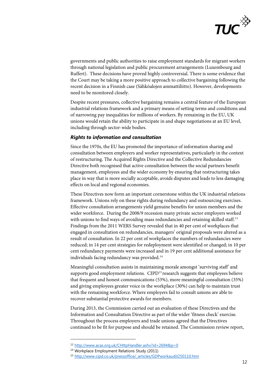

governments and public authorities to raise employment standards for migrant workers through national legislation and public procurement arrangements (Luxembourg and Ruffert). These decisions have proved highly controversial. There is some evidence that the Court may be taking a more positive approach to collective bargaining following the recent decision in a Finnish case (Sähköalojen ammattiliitto). However, developments need to be monitored closely.

Despite recent pressures, collective bargaining remains a central feature of the European industrial relations framework and a primary means of setting terms and conditions and of narrowing pay inequalities for millions of workers. By remaining in the EU, UK unions would retain the ability to participate in and shape negotiations at an EU level, including through sector-wide bodies.

### *Rights to information and consultation*

Since the 1970s, the EU has promoted the importance of information sharing and consultation between employers and worker representatives, particularly in the context of restructuring. The Acquired Rights Directive and the Collective Redundancies Directive both recognised that active consultation between the social partners benefit management, employees and the wider economy by ensuring that restructuring takes place in way that is more socially acceptable, avoids disputes and leads to less damaging effects on local and regional economies.

These Directives now form an important cornerstone within the UK industrial relations framework. Unions rely on these rights during redundancy and outsourcing exercises. Effective consultation arrangements yield genuine benefits for union members and the wider workforce. During the 2008/9 recession many private sector employers worked with unions to find ways of avoiding mass redundancies and retaining skilled staff.<sup>[13](#page-11-0)</sup> Findings from the 2011 WERS Survey revealed that in 40 per cent of workplaces that engaged in consultation on redundancies, managers' original proposals were altered as a result of consultation. In 22 per cent of workplaces the numbers of redundancies were reduced; in 14 per cent strategies for redeployment were identified or changed; in 10 per cent redundancy payments were increased and in 19 per cent additional assistance for individuals facing redundancy was provided.<sup>[14](#page-11-1)</sup>

Meaningful consultation assists in maintaining morale amongst 'surviving staff' and supports good employment relations. CIPD<sup>[15](#page-11-2)</sup> research suggests that employees believe that frequent and honest communications (53%), more meaningful consultation (35%) and giving employees greater voice in the workplace (30%) can help to maintain trust with the remaining workforce. Where employers fail to consult unions are able to recover substantial protective awards for members.

During 2013, the Commission carried out an evaluation of these Directives and the Information and Consultation Directive as part of the wider 'fitness check' exercise. Throughout the process employers and trade unions agreed that the Directives continued to be fit for purpose and should be retained. The Commission review report,

-

<sup>13</sup> <http://www.acas.org.uk/CHttpHandler.ashx?id=2694&p=0>

<span id="page-11-1"></span><span id="page-11-0"></span><sup>14</sup> Workplace Employment Relations Study (2011)

<span id="page-11-2"></span><sup>15</sup> [http://www.cipd.co.uk/pressoffice/\\_articles/GDPworkaudit250110.htm](http://www.cipd.co.uk/pressoffice/_articles/GDPworkaudit250110.htm)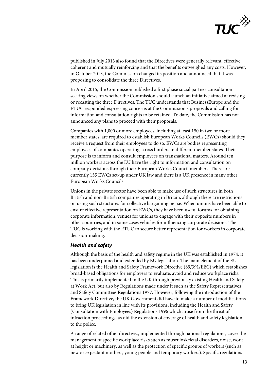

published in July 2013 also found that the Directives were generally relevant, effective, coherent and mutually reinforcing and that the benefits outweighed any costs. However, in October 2013, the Commission changed its position and announced that it was proposing to consolidate the three Directives.

In April 2015, the Commission published a first phase social partner consultation seeking views on whether the Commission should launch an initiative aimed at revising or recasting the three Directives. The TUC understands that BusinessEurope and the ETUC responded expressing concerns at the Commission's proposals and calling for information and consultation rights to be retained. To date, the Commission has not announced any plans to proceed with their proposals.

Companies with 1,000 or more employees, including at least 150 in two or more member states, are required to establish European Works Councils (EWCs) should they receive a request from their employees to do so. EWCs are bodies representing employees of companies operating across borders in different member states. Their purpose is to inform and consult employees on transnational matters. Around ten million workers across the EU have the right to information and consultation on company decisions through their European Works Council members. There are currently 155 EWCs set-up under UK law and there is a UK presence in many other European Works Councils.

Unions in the private sector have been able to make use of such structures in both British and non-British companies operating in Britain, although there are restrictions on using such structures for collective bargaining per se. When unions have been able to ensure effective representation on EWCs, they have been useful forums for obtaining corporate information, venues for unions to engage with their opposite numbers in other countries, and in some cases vehicles for influencing corporate decisions. The TUC is working with the ETUC to secure better representation for workers in corporate decision-making.

#### *Health and safety*

Although the basis of the health and safety regime in the UK was established in 1974, it has been underpinned and extended by EU legislation. The main element of the EU legislation is the Health and Safety Framework Directive (89/391/EEC) which establishes broad-based obligations for employers to evaluate, avoid and reduce workplace risks. This is primarily implemented in the UK through previously existing Health and Safety at Work Act, but also by Regulations made under it such as the Safety Representatives and Safety Committees Regulations 1977. However, following the introduction of the Framework Directive, the UK Government did have to make a number of modifications to bring UK legislation in line with its provisions, including the Health and Safety (Consultation with Employees) Regulations 1996 which arose from the threat of infraction proceedings, as did the extension of coverage of health and safety legislation to the police.

A range of related other directives, implemented through national regulations, cover the management of specific workplace risks such as musculoskeletal disorders, noise, work at height or machinery, as well as the protection of specific groups of workers (such as new or expectant mothers, young people and temporary workers). Specific regulations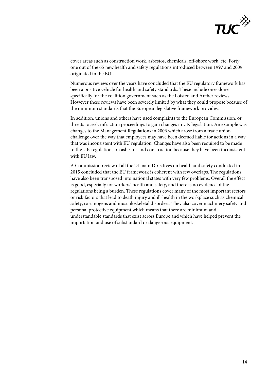

cover areas such as construction work, asbestos, chemicals, off-shore work, etc. Forty one out of the 65 new health and safety regulations introduced between 1997 and 2009 originated in the EU.

Numerous reviews over the years have concluded that the EU regulatory framework has been a positive vehicle for health and safety standards. These include ones done specifically for the coalition government such as the Lofsted and Archer reviews. However these reviews have been severely limited by what they could propose because of the minimum standards that the European legislative framework provides.

In addition, unions and others have used complaints to the European Commission, or threats to seek infraction proceedings to gain changes in UK legislation. An example was changes to the Management Regulations in 2006 which arose from a trade union challenge over the way that employees may have been deemed liable for actions in a way that was inconsistent with EU regulation. Changes have also been required to be made to the UK regulations on asbestos and construction because they have been inconsistent with EU law.

A Commission review of all the 24 main Directives on health and safety conducted in 2015 concluded that the EU framework is coherent with few overlaps. The regulations have also been transposed into national states with very few problems. Overall the effect is good, especially for workers' health and safety, and there is no evidence of the regulations being a burden. These regulations cover many of the most important sectors or risk factors that lead to death injury and ill-health in the workplace such as chemical safety, carcinogens and musculoskeletal disorders. They also cover machinery safety and personal protective equipment which means that there are minimum and understandable standards that exist across Europe and which have helped prevent the importation and use of substandard or dangerous equipment.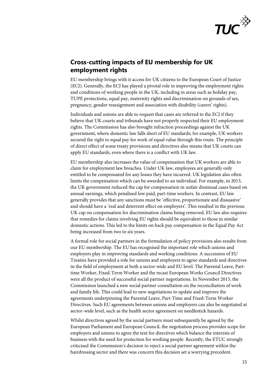

# **Cross-cutting impacts of EU membership for UK employment rights**

EU membership brings with it access for UK citizens to the European Court of Justice (ECJ). Generally, the ECJ has played a pivotal role in improving the employment rights and conditions of working people in the UK, including in areas such as holiday pay, TUPE protections, equal pay, maternity rights and discrimination on grounds of sex, pregnancy, gender reassignment and association with disability (carers' rights).

Individuals and unions are able to request that cases are referred to the ECJ if they believe that UK courts and tribunals have not properly respected their EU employment rights. The Commission has also brought infraction proceedings against the UK government, where domestic law falls short of EU standards; for example, UK workers secured the right to equal pay for work of equal value through this route. The principle of direct effect of some treaty provisions and directives also means that UK courts can apply EU standards, even where there is a conflict with UK law.

EU membership also increases the value of compensation that UK workers are able to claim for employment law breaches. Under UK law, employees are generally only entitled to be compensated for any losses they have incurred. UK legislation also often limits the compensation which can be awarded to an individual. For example, in 2013, the UK government reduced the cap for compensation in unfair dismissal cases based on annual earnings, which penalised low paid, part-time workers. In contrast, EU law generally provides that any sanctions must be 'effective, proportionate and dissuasive' and should have a 'real and deterrent effect on employers'. This resulted in the previous UK cap on compensation for discrimination claims being removed. EU law also requires that remedies for claims involving EU rights should be equivalent to those in similar domestic actions. This led to the limits on back pay compensation in the Equal Pay Act being increased from two to six years.

A formal role for social partners in the formulation of policy provisions also results from our EU membership. The EU has recognised the important role which unions and employers play in improving standards and working conditions. A succession of EU Treaties have provided a role for unions and employers to agree standards and directives in the field of employment at both a sector-wide and EU level. The Parental Leave, Parttime Worker, Fixed-Term Worker and the recast European Works Council Directives were all the product of successful social partner negotiations. In November 2015, the Commission launched a new social partner consultation on the reconciliation of work and family life. This could lead to new negotiations to update and improve the agreements underpinning the Parental Leave, Part-Time and Fixed-Term Worker Directives. Such EU agreements between unions and employers can also be negotiated at sector-wide level, such as the health sector agreement on needlestick hazards.

Whilst directives agreed by the social partners must subsequently be agreed by the European Parliament and European Council, the negotiation process provides scope for employers and unions to agree the text for directives which balance the interests of business with the need for protection for working people. Recently, the ETUC strongly criticised the Commission's decision to reject a social partner agreement within the hairdressing sector and there was concern this decision set a worrying precedent.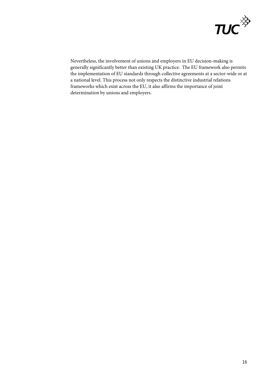

Nevertheless, the involvement of unions and employers in EU decision-making is generally significantly better than existing UK practice. The EU framework also permits the implementation of EU standards through collective agreements at a sector-wide or at a national level. This process not only respects the distinctive industrial relations frameworks which exist across the EU, it also affirms the importance of joint determination by unions and employers.